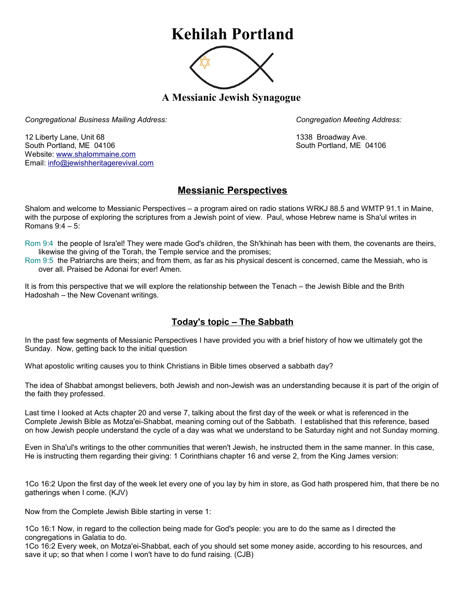## **Kehilah Portland**



**A Messianic Jewish Synagogue** 

*Congregational Business Mailing Address: Congregation Meeting Address:*

12 Liberty Lane, Unit 68 1338 Broadway Ave. South Portland, ME 04106 South Portland, ME 04106 Website: [www.shalommaine.com](http://www.shalommaine.com/) Email: [info@jewishheritagerevival.com](mailto:info@jewishheritagerevival.com) 

## **Messianic Perspectives**

Shalom and welcome to Messianic Perspectives – a program aired on radio stations WRKJ 88.5 and WMTP 91.1 in Maine, with the purpose of exploring the scriptures from a Jewish point of view. Paul, whose Hebrew name is Sha'ul writes in Romans 9:4 – 5:

Rom 9:4 the people of Isra'el! They were made God's children, the Sh'khinah has been with them, the covenants are theirs, likewise the giving of the Torah, the Temple service and the promises;

Rom 9:5 the Patriarchs are theirs; and from them, as far as his physical descent is concerned, came the Messiah, who is over all. Praised be Adonai for ever! Amen.

It is from this perspective that we will explore the relationship between the Tenach – the Jewish Bible and the Brith Hadoshah – the New Covenant writings.

## **Today's topic – The Sabbath**

In the past few segments of Messianic Perspectives I have provided you with a brief history of how we ultimately got the Sunday. Now, getting back to the initial question

What apostolic writing causes you to think Christians in Bible times observed a sabbath day?

The idea of Shabbat amongst believers, both Jewish and non-Jewish was an understanding because it is part of the origin of the faith they professed.

Last time I looked at Acts chapter 20 and verse 7, talking about the first day of the week or what is referenced in the Complete Jewish Bible as Motza'ei-Shabbat, meaning coming out of the Sabbath. I established that this reference, based on how Jewish people understand the cycle of a day was what we understand to be Saturday night and not Sunday morning.

Even in Sha'ul's writings to the other communities that weren't Jewish, he instructed them in the same manner. In this case, He is instructing them regarding their giving: 1 Corinthians chapter 16 and verse 2, from the King James version:

1Co 16:2 Upon the first day of the week let every one of you lay by him in store, as God hath prospered him, that there be no gatherings when I come. (KJV)

Now from the Complete Jewish Bible starting in verse 1:

1Co 16:1 Now, in regard to the collection being made for God's people: you are to do the same as I directed the congregations in Galatia to do.

1Co 16:2 Every week, on Motza'ei-Shabbat, each of you should set some money aside, according to his resources, and save it up; so that when I come I won't have to do fund raising. (CJB)